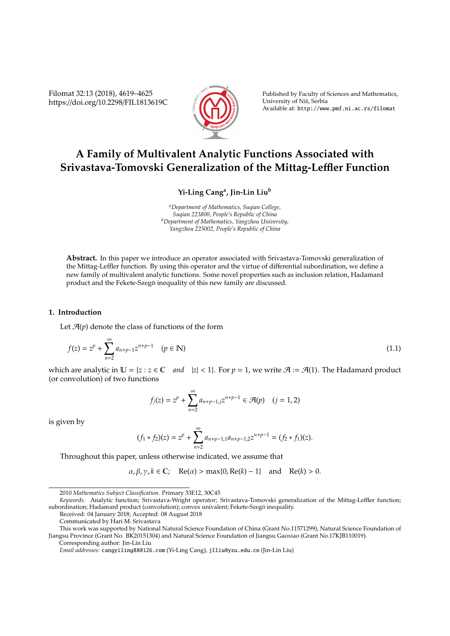Filomat 32:13 (2018), 4619–4625 https://doi.org/10.2298/FIL1813619C



Published by Faculty of Sciences and Mathematics, University of Niš, Serbia Available at: http://www.pmf.ni.ac.rs/filomat

# **A Family of Multivalent Analytic Functions Associated with Srivastava-Tomovski Generalization of the Mittag-Le**ffl**er Function**

## **Yi-Ling Cang<sup>a</sup> , Jin-Lin Liu<sup>b</sup>**

*<sup>a</sup>Department of Mathematics, Suqian College, Suqian 223800, People's Republic of China <sup>b</sup>Department of Mathematics, Yangzhou University, Yangzhou 225002, People's Republic of China*

**Abstract.** In this paper we introduce an operator associated with Srivastava-Tomovski generalization of the Mittag-Leffler function. By using this operator and the virtue of differential subordination, we define a new family of multivalent analytic functions. Some novel properties such as inclusion relation, Hadamard product and the Fekete-Szegö inequality of this new family are discussed.

### **1. Introduction**

Let  $\mathcal{A}(p)$  denote the class of functions of the form

$$
f(z) = z^{p} + \sum_{n=2}^{\infty} a_{n+p-1} z^{n+p-1} \quad (p \in \mathbb{N})
$$
 (1.1)

which are analytic in  $\mathbb{U} = \{z : z \in \mathbb{C} \text{ and } |z| < 1\}$ . For  $p = 1$ , we write  $\mathcal{A} := \mathcal{A}(1)$ . The Hadamard product (or convolution) of two functions

$$
f_j(z) = z^p + \sum_{n=2}^{\infty} a_{n+p-1,j} z^{n+p-1} \in \mathcal{A}(p) \quad (j = 1,2)
$$

is given by

$$
(f_1 * f_2)(z) = zp + \sum_{n=2}^{\infty} a_{n+p-1,1} a_{n+p-1,2} z^{n+p-1} = (f_2 * f_1)(z).
$$

Throughout this paper, unless otherwise indicated, we assume that

$$
\alpha, \beta, \gamma, k \in \mathbb{C}; \quad \text{Re}(\alpha) > \max\{0, \text{Re}(k) - 1\} \quad \text{and} \quad \text{Re}(k) > 0.
$$

Received: 04 January 2018; Accepted: 08 August 2018

<sup>2010</sup> *Mathematics Subject Classification*. Primary 33E12, 30C45

*Keywords*. Analytic function; Srivastava-Wright operator; Srivastava-Tomovski generalization of the Mittag-Leffler function; subordination; Hadamard product (convolution); convex univalent; Fekete-Szegö inequality.

Communicated by Hari M. Srivastava

This work was supported by National Natural Science Foundation of China (Grant No.11571299), Natural Science Foundation of Jiangsu Province (Grant No. BK20151304) and Natural Science Foundation of Jiangsu Gaoxiao (Grant No.17KJB110019). Corresponding author: Jin-Lin Liu

*Email addresses:* cangyiling88@126.com (Yi-Ling Cang), jlliu@yzu.edu.cn (Jin-Lin Liu)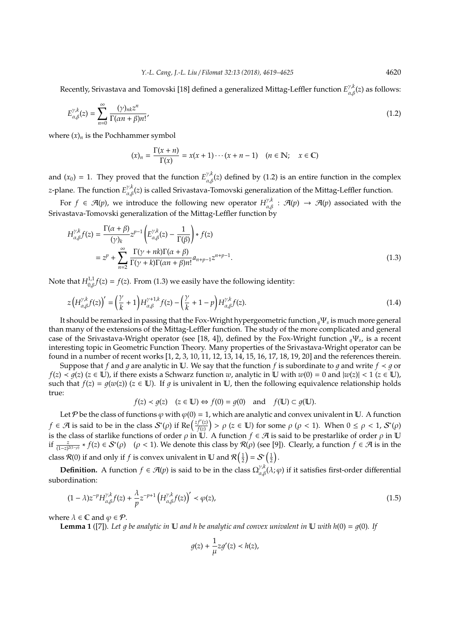Recently, Srivastava and Tomovski [18] defined a generalized Mittag-Leffler function *E* γ,*k* α,β(*z*) as follows:

$$
E_{\alpha,\beta}^{\gamma,k}(z) = \sum_{n=0}^{\infty} \frac{(\gamma)_{nk} z^n}{\Gamma(\alpha n + \beta)n!},
$$
\n(1.2)

where  $(x)_n$  is the Pochhammer symbol

$$
(x)_n = \frac{\Gamma(x+n)}{\Gamma(x)} = x(x+1)\cdots(x+n-1) \quad (n \in \mathbb{N}; \quad x \in \mathbb{C})
$$

and  $(x_0) = 1$ . They proved that the function  $E_{\alpha,\beta}^{\gamma,k}(z)$  defined by (1.2) is an entire function in the complex *z*-plane. The function *E*<sup>γ,*k*</sup>(*z*) is called Srivastava-Tomovski generalization of the Mittag-Leffler function.

For  $f \in \mathcal{A}(p)$ , we introduce the following new operator  $H^{\gamma, k}_{\alpha, \beta} : \mathcal{A}(p) \to \mathcal{A}(p)$  associated with the Srivastava-Tomovski generalization of the Mittag-Leffler function by

$$
H_{\alpha,\beta}^{\gamma,k}f(z) = \frac{\Gamma(\alpha+\beta)}{(\gamma)_k} z^{p-1} \left( E_{\alpha,\beta}^{\gamma,k}(z) - \frac{1}{\Gamma(\beta)} \right) * f(z)
$$
  
= 
$$
z^p + \sum_{n=2}^{\infty} \frac{\Gamma(\gamma+nk)\Gamma(\alpha+\beta)}{\Gamma(\gamma+k)\Gamma(\alpha n+\beta)n!} a_{n+p-1} z^{n+p-1}.
$$
 (1.3)

Note that  $H_{0,\beta}^{1,1} f(z) = f(z)$ . From (1.3) we easily have the following identity:

$$
z\left(H_{\alpha,\beta}^{\gamma,k}f(z)\right)' = \left(\frac{\gamma}{k} + 1\right)H_{\alpha,\beta}^{\gamma+1,k}f(z) - \left(\frac{\gamma}{k} + 1 - p\right)H_{\alpha,\beta}^{\gamma,k}f(z). \tag{1.4}
$$

It should be remarked in passing that the Fox-Wright hypergeometric function *<sup>q</sup>*Ψ*<sup>s</sup>* is much more general than many of the extensions of the Mittag-Leffler function. The study of the more complicated and general case of the Srivastava-Wright operator (see [18, 4]), defined by the Fox-Wright function *<sup>q</sup>*Ψ*<sup>s</sup>* , is a recent interesting topic in Geometric Function Theory. Many properties of the Srivastava-Wright operator can be found in a number of recent works [1, 2, 3, 10, 11, 12, 13, 14, 15, 16, 17, 18, 19, 20] and the references therein.

Suppose that *f* and *g* are analytic in U. We say that the function *f* is subordinate to *g* and write  $f \prec g$  or *f*(*z*) < *g*(*z*) (*z* ∈ **U**), if there exists a Schwarz function *w*, analytic in **U** with *w*(0) = 0 and  $|w(z)|$  < 1 (*z* ∈ **U**), such that  $f(z) = g(w(z))$  ( $z \in \mathbb{U}$ ). If q is univalent in  $\mathbb{U}$ , then the following equivalence relationship holds true:

$$
f(z) < g(z)
$$
  $(z \in \mathbb{U}) \Leftrightarrow f(0) = g(0)$  and  $f(\mathbb{U}) \subset g(\mathbb{U})$ .

Let P be the class of functions  $\varphi$  with  $\varphi(0) = 1$ , which are analytic and convex univalent in U. A function *f*  $\in$  *A* is said to be in the class  $S^*(\rho)$  if Re $\left(\frac{zf'(z)}{f(z)}\right)$  $f'^{(z)}_{f(z)}) > \rho$  ( $z \in \mathbb{U}$ ) for some  $\rho$  ( $\rho < 1$ ). When  $0 \le \rho < 1$ ,  $\mathcal{S}^*(\rho)$ is the class of starlike functions of order  $\rho$  in  $\mathbb U$ . A function  $f \in \mathcal A$  is said to be prestarlike of order  $\rho$  in  $\mathbb U$ if  $\frac{z}{(1-z)^{2(1-\rho)}}$  \* *f*(*z*) ∈ *S*<sup>∗</sup>(*ρ*) (*ρ* < 1). We denote this class by *R*(*ρ*) (see [9]). Clearly, a function *f* ∈ *A* is in the class R(0) if and only if *f* is convex univalent in **U** and  $\mathcal{R}\left(\frac{1}{2}\right) = \mathcal{S}^*\left(\frac{1}{2}\right)$ .

**Definition.** A function  $f \in \mathcal{A}(p)$  is said to be in the class  $\Omega_{\alpha,\beta}^{\gamma,k}(\lambda;\varphi)$  if it satisfies first-order differential subordination:

$$
(1 - \lambda)z^{-p}H_{\alpha,\beta}^{\gamma,k}f(z) + \frac{\lambda}{p}z^{-p+1}\left(H_{\alpha,\beta}^{\gamma,k}f(z)\right)' < \varphi(z),\tag{1.5}
$$

where  $\lambda \in \mathbb{C}$  and  $\varphi \in \mathcal{P}$ .

**Lemma 1** ([7]). Let q be analytic in  $\mathbb U$  and h be analytic and convex univalent in  $\mathbb U$  with  $h(0) = g(0)$ . If

$$
g(z) + \frac{1}{\mu} z g'(z) < h(z),
$$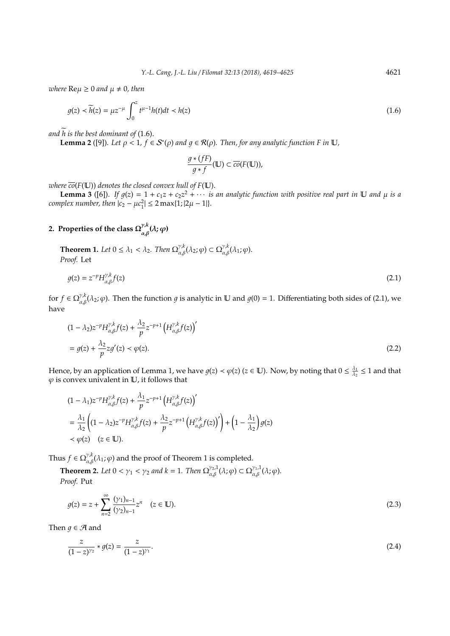*where*  $\text{Re}\mu \geq 0$  *and*  $\mu \neq 0$ *, then* 

$$
g(z) \prec \widetilde{h}(z) = \mu z^{-\mu} \int_0^z t^{\mu-1} h(t) dt \prec h(z)
$$
\n(1.6)

and  $\widetilde{h}$  is the best dominant of (1.6).

**Lemma 2** ([9]). Let  $\rho < 1$ ,  $f \in S^*(\rho)$  and  $g \in R(\rho)$ . Then, for any analytic function F in  $\mathbb U$ ,

$$
\frac{g*(fF)}{g*f}(\mathbb{U}) \subset \overline{co}(F(\mathbb{U})),
$$

*where*  $\overline{co}(F(\mathbb{U}))$  *denotes the closed convex hull of*  $F(\mathbb{U})$ *.* 

**Lemma 3** ([6]). If  $g(z) = 1 + c_1z + c_2z^2 + \cdots$  *is an analytic function with positive real part in* U *and*  $\mu$  *is a*  $complex number, then$   $|c_2 - \mu c_1^2| \leq 2 \max\{1; |2\mu - 1|\}.$ 

#### **2. Properties of the class**  $\Omega^{y,k}_{\lambda,\theta}$  $\int_{\alpha,\beta}^{\gamma,\kappa}(\lambda;\varphi)$

**Theorem 1.** Let  $0 \leq \lambda_1 < \lambda_2$ . Then  $\Omega_{\alpha,\beta}^{\gamma,k}(\lambda_2;\varphi) \subset \Omega_{\alpha,\beta}^{\gamma,k}(\lambda_1;\varphi)$ . *Proof.* Let

$$
g(z) = z^{-p} H_{\alpha,\beta}^{\gamma,k} f(z)
$$
\n(2.1)

for  $f \in \Omega_{\alpha,\beta}^{\gamma,k}(\lambda_2;\varphi)$ . Then the function  $g$  is analytic in  $\mathbb U$  and  $g(0) = 1$ . Differentiating both sides of (2.1), we have

$$
(1 - \lambda_2)z^{-p}H_{\alpha,\beta}^{\gamma,k}f(z) + \frac{\lambda_2}{p}z^{-p+1}\left(H_{\alpha,\beta}^{\gamma,k}f(z)\right)'
$$
  
=  $g(z) + \frac{\lambda_2}{p}zg'(z) < \varphi(z).$  (2.2)

Hence, by an application of Lemma 1, we have  $g(z) < \varphi(z)$  ( $z \in \mathbb{U}$ ). Now, by noting that  $0 \leq \frac{\lambda_1}{\lambda_2}$  $\frac{\lambda_1}{\lambda_2} \leq 1$  and that  $\varphi$  is convex univalent in  $\mathbb U$ , it follows that

$$
\begin{split} &(1-\lambda_1)z^{-p}H^{\gamma,k}_{\alpha,\beta}f(z)+\frac{\lambda_1}{p}z^{-p+1}\left(H^{\gamma,k}_{\alpha,\beta}f(z)\right)'\\ &=\frac{\lambda_1}{\lambda_2}\left((1-\lambda_2)z^{-p}H^{\gamma,k}_{\alpha,\beta}f(z)+\frac{\lambda_2}{p}z^{-p+1}\left(H^{\gamma,k}_{\alpha,\beta}f(z)\right)'\right)+\left(1-\frac{\lambda_1}{\lambda_2}\right)g(z)\\ &\prec\varphi(z)\quad(z\in\mathbb{U}). \end{split}
$$

Thus  $f \in \Omega_{\alpha,\beta}^{\gamma,k}(\lambda_1;\varphi)$  and the proof of Theorem 1 is completed.

**Theorem 2.** Let  $0 < \gamma_1 < \gamma_2$  and  $k = 1$ . Then  $\Omega_{\alpha,\beta}^{\gamma_2,1}(\lambda;\varphi) \subset \Omega_{\alpha,\beta}^{\gamma_1,1}(\lambda;\varphi)$ . *Proof.* Put

$$
g(z) = z + \sum_{n=2}^{\infty} \frac{(\gamma_1)_{n-1}}{(\gamma_2)_{n-1}} z^n \quad (z \in \mathbb{U}).
$$
\n(2.3)

Then  $q \in \mathcal{A}$  and

$$
\frac{z}{(1-z)^{\gamma_2}} * g(z) = \frac{z}{(1-z)^{\gamma_1}}.
$$
\n(2.4)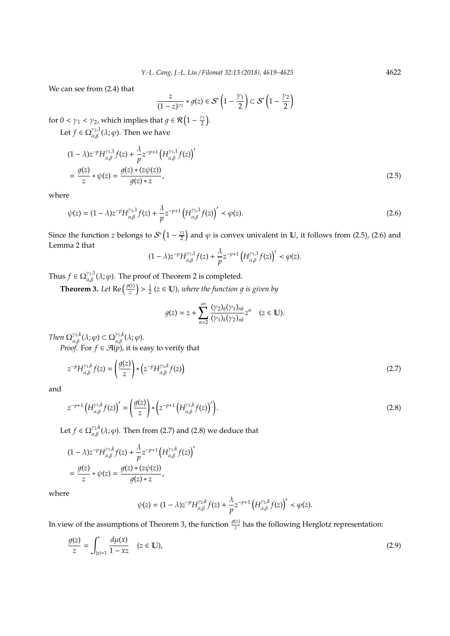We can see from (2.4) that

$$
\frac{z}{(1-z)^{\gamma_2}} * g(z) \in \mathcal{S}^*\left(1-\frac{\gamma_1}{2}\right) \subset \mathcal{S}^*\left(1-\frac{\gamma_2}{2}\right)
$$

for  $0 < \gamma_1 < \gamma_2$ , which implies that  $g \in \mathcal{R} \left(1 - \frac{\gamma_2}{2}\right)$  $\frac{\nu_2}{2}$ ).

Let  $f \in \Omega_{\alpha,\beta}^{\gamma_2,1}(\lambda;\varphi)$ . Then we have

$$
(1 - \lambda)z^{-p}H_{\alpha,\beta}^{\gamma_1,1}f(z) + \frac{\lambda}{p}z^{-p+1}\left(H_{\alpha,\beta}^{\gamma_1,1}f(z)\right)'
$$
  
= 
$$
\frac{g(z)}{z} * \psi(z) = \frac{g(z) * (z\psi(z))}{g(z) * z},
$$
 (2.5)

where

$$
\psi(z) = (1 - \lambda)z^{-p}H_{\alpha,\beta}^{\gamma_2,1}f(z) + \frac{\lambda}{p}z^{-p+1}\left(H_{\alpha,\beta}^{\gamma_2,1}f(z)\right)' < \varphi(z).
$$
\n(2.6)

Since the function *z* belongs to  $S^*\left(1-\frac{\gamma_2}{2}\right)$  $\frac{\sqrt{2}}{2}$  and  $\varphi$  is convex univalent in  $\mathbb{U}$ , it follows from (2.5), (2.6) and Lemma 2 that

$$
(1-\lambda)z^{-p}H_{\alpha,\beta}^{\gamma_1,1}f(z)+\frac{\lambda}{p}z^{-p+1}\left(H_{\alpha,\beta}^{\gamma_1,1}f(z)\right)'<\varphi(z).
$$

Thus  $f \in \Omega_{\alpha,\beta}^{\gamma_1,1}(\lambda;\varphi)$ . The proof of Theorem 2 is completed.

**Theorem 3.** Let Re  $\left(\frac{g(z)}{z}\right)$  $\left(\frac{\overline{z}}{z}\right)$   $>$   $\frac{1}{2}$  (z  $\in$  **U**), where the function  $g$  is given by

$$
g(z) = z + \sum_{n=2}^{\infty} \frac{(\gamma_2)_k (\gamma_1)_{nk}}{(\gamma_1)_k (\gamma_2)_{nk}} z^n \quad (z \in \mathbb{U}).
$$

*Then*  $\Omega_{\alpha,\beta}^{\gamma_2,k}(\lambda;\varphi) \subset \Omega_{\alpha,\beta}^{\gamma_1,k}(\lambda;\varphi)$ .

*Proof.* For  $f \in \mathcal{A}(p)$ , it is easy to verify that

$$
z^{-p}H_{\alpha,\beta}^{\gamma_1,k}f(z) = \left(\frac{g(z)}{z}\right) * \left(z^{-p}H_{\alpha,\beta}^{\gamma_2,k}f(z)\right)
$$
\n(2.7)

and

$$
z^{-p+1}\left(H_{\alpha,\beta}^{\gamma_1,k}f(z)\right)' = \left(\frac{g(z)}{z}\right) * \left(z^{-p+1}\left(H_{\alpha,\beta}^{\gamma_2,k}f(z)\right)'\right).
$$
\n(2.8)

Let  $f \in \Omega_{\alpha,\beta}^{\gamma_2, k}(\lambda;\varphi)$ . Then from (2.7) and (2.8) we deduce that

$$
(1 - \lambda)z^{-p}H_{\alpha,\beta}^{\gamma_1,k}f(z) + \frac{\lambda}{p}z^{-p+1}\left(H_{\alpha,\beta}^{\gamma_1,k}f(z)\right)'
$$
  
= 
$$
\frac{g(z)}{z} * \psi(z) = \frac{g(z) * (z\psi(z))}{g(z) * z},
$$

where

$$
\psi(z)=(1-\lambda)z^{-p}H_{\alpha,\beta}^{\gamma_2,k}f(z)+\frac{\lambda}{p}z^{-p+1}\left(H_{\alpha,\beta}^{\gamma_2,k}f(z)\right)^\prime<\varphi(z).
$$

In view of the assumptions of Theorem 3, the function  $\frac{g(z)}{z}$  has the following Herglotz representation:

$$
\frac{g(z)}{z} = \int_{|x|=1} \frac{d\mu(x)}{1 - xz} \quad (z \in \mathbb{U}),\tag{2.9}
$$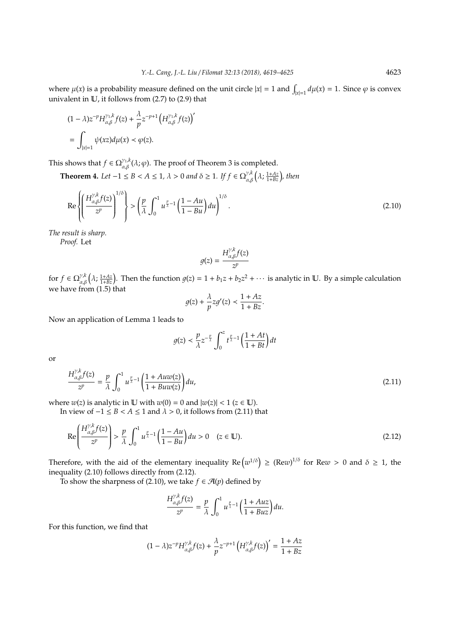where  $\mu(x)$  is a probability measure defined on the unit circle  $|x| = 1$  and  $\int_{|x|=1} d\mu(x) = 1$ . Since  $\varphi$  is convex univalent in U, it follows from (2.7) to (2.9) that

$$
(1 - \lambda)z^{-p}H_{\alpha,\beta}^{\gamma_1,k}f(z) + \frac{\lambda}{p}z^{-p+1}\left(H_{\alpha,\beta}^{\gamma_1,k}f(z)\right)'
$$
  
= 
$$
\int_{|x|=1}\psi(xz)d\mu(x) < \varphi(z).
$$

This shows that  $f \in \Omega_{\alpha,\beta}^{\gamma_1,k}(\lambda;\varphi)$ . The proof of Theorem 3 is completed.

**Theorem 4.** Let  $-1 \leq B < A \leq 1$ ,  $\lambda > 0$  and  $\delta \geq 1$ . If  $f \in \Omega_{\alpha,\beta}^{\gamma,k}(\lambda;\frac{1+Az}{1+Bz})$ , then

$$
\operatorname{Re}\left\{\left(\frac{H_{\alpha,\beta}^{\gamma,k}f(z)}{z^p}\right)^{1/\delta}\right\} > \left(\frac{p}{\lambda}\int_0^1 u^{\frac{p}{\lambda}-1}\left(\frac{1-Au}{1-Bu}\right)du\right)^{1/\delta}.
$$
\n(2.10)

*The result is sharp.*

*Proof.* Let

$$
g(z)=\frac{H^{\gamma,k}_{\alpha,\beta}f(z)}{z^p}
$$

for  $f \in \Omega_{\alpha,\beta}^{\gamma,k}(\lambda;\frac{1+Az}{1+Bz})$ . Then the function  $g(z) = 1 + b_1z + b_2z^2 + \cdots$  is analytic in U. By a simple calculation we have from (1.5) that

$$
g(z) + \frac{\lambda}{p}zg'(z) < \frac{1 + Az}{1 + Bz}.
$$

Now an application of Lemma 1 leads to

$$
g(z) < \frac{p}{\lambda} z^{-\frac{p}{\lambda}} \int_0^z t^{\frac{p}{\lambda} - 1} \left( \frac{1 + At}{1 + Bt} \right) dt
$$

or

$$
\frac{H_{\alpha,\beta}^{\gamma,k}f(z)}{z^p} = \frac{p}{\lambda} \int_0^1 u^{\frac{p}{\lambda}-1} \left( \frac{1 + Auw(z)}{1 + Buw(z)} \right) du,\tag{2.11}
$$

where  $w(z)$  is analytic in  $U$  with  $w(0) = 0$  and  $|w(z)| < 1$  ( $z \in U$ ).

In view of  $-1 \leq B < A \leq 1$  and  $\lambda > 0$ , it follows from (2.11) that

$$
\operatorname{Re}\left(\frac{H_{\alpha,\beta}^{\gamma,k}f(z)}{z^p}\right) > \frac{p}{\lambda} \int_0^1 u^{\frac{p}{\lambda}-1} \left(\frac{1-Au}{1-Bu}\right) du > 0 \quad (z \in \mathbb{U}).\tag{2.12}
$$

Therefore, with the aid of the elementary inequality  $\text{Re}(w^{1/\delta}) \geq (\text{Re}w)^{1/\delta}$  for  $\text{Re}w > 0$  and  $\delta \geq 1$ , the inequality (2.10) follows directly from (2.12).

To show the sharpness of (2.10), we take  $f \in \mathcal{F}(\mathfrak{p})$  defined by

$$
\frac{H_{\alpha,\beta}^{\gamma,k}f(z)}{z^p} = \frac{p}{\lambda} \int_0^1 u^{\frac{p}{\lambda}-1} \left(\frac{1+Auz}{1+Buz}\right) du.
$$

For this function, we find that

$$
(1 - \lambda)z^{-p}H_{\alpha,\beta}^{\gamma,k}f(z) + \frac{\lambda}{p}z^{-p+1}\left(H_{\alpha,\beta}^{\gamma,k}f(z)\right)' = \frac{1 + Az}{1 + Bz}
$$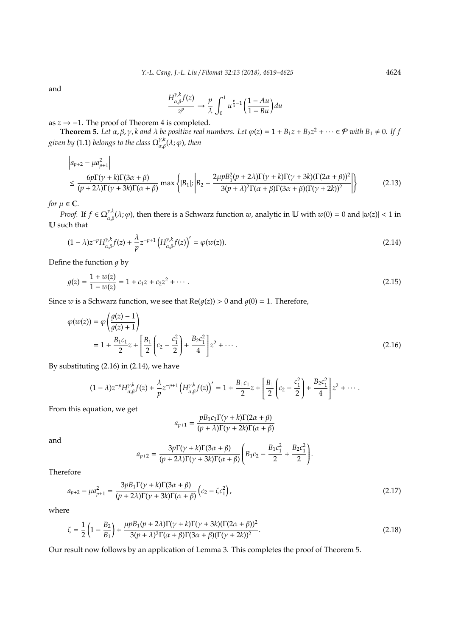and

$$
\frac{H_{\alpha,\beta}^{\gamma,k}f(z)}{z^p} \to \frac{p}{\lambda} \int_0^1 u^{\frac{p}{\lambda}-1} \left(\frac{1-Au}{1-Bu}\right) du
$$

as *z* → −1. The proof of Theorem 4 is completed.

**Theorem 5.** Let  $\alpha, \beta, \gamma$ , k and  $\lambda$  be positive real numbers. Let  $\varphi(z) = 1 + B_1 z + B_2 z^2 + \cdots \in \mathcal{P}$  with  $B_1 \neq 0$ . If f given by (1.1) belongs to the class  $\Omega_{\alpha,\beta}^{\gamma,k}(\lambda;\varphi)$ , then

$$
\left| a_{p+2} - \mu a_{p+1}^2 \right|
$$
  
\n
$$
\leq \frac{6p\Gamma(\gamma + k)\Gamma(3\alpha + \beta)}{(p+2\lambda)\Gamma(\gamma + 3k)\Gamma(\alpha + \beta)} \max \left\{ |B_1|, \left| B_2 - \frac{2\mu pB_1^2(p+2\lambda)\Gamma(\gamma + k)\Gamma(\gamma + 3k)(\Gamma(2\alpha + \beta))^2}{3(p+\lambda)^2\Gamma(\alpha + \beta)\Gamma(3\alpha + \beta)(\Gamma(\gamma + 2k))^2} \right| \right\}
$$
(2.13)

*for*  $\mu \in \mathbb{C}$ *.* 

*Proof.* If  $f \in \Omega_{\alpha,\beta}^{\gamma,k}(\lambda;\varphi)$ , then there is a Schwarz function  $w$ , analytic in  $\mathbb U$  with  $w(0) = 0$  and  $|w(z)| < 1$  in U such that

$$
(1 - \lambda)z^{-p}H_{\alpha,\beta}^{\gamma,k}f(z) + \frac{\lambda}{p}z^{-p+1}\left(H_{\alpha,\beta}^{\gamma,k}f(z)\right)' = \varphi(w(z)).\tag{2.14}
$$

Define the function  $q$  by

$$
g(z) = \frac{1 + w(z)}{1 - w(z)} = 1 + c_1 z + c_2 z^2 + \dotsb
$$
\n(2.15)

Since *w* is a Schwarz function, we see that  $Re(g(z)) > 0$  and  $g(0) = 1$ . Therefore,

$$
\varphi(w(z)) = \varphi\left(\frac{g(z) - 1}{g(z) + 1}\right)
$$
  
=  $1 + \frac{B_1 c_1}{2} z + \left[\frac{B_1}{2} \left(c_2 - \frac{c_1^2}{2}\right) + \frac{B_2 c_1^2}{4}\right] z^2 + \cdots$  (2.16)

By substituting (2.16) in (2.14), we have

$$
(1 - \lambda)z^{-p}H_{\alpha,\beta}^{\gamma,k}f(z) + \frac{\lambda}{p}z^{-p+1}\left(H_{\alpha,\beta}^{\gamma,k}f(z)\right)' = 1 + \frac{B_1c_1}{2}z + \left[\frac{B_1}{2}\left(c_2 - \frac{c_1^2}{2}\right) + \frac{B_2c_1^2}{4}\right]z^2 + \cdots
$$

From this equation, we get

$$
a_{p+1} = \frac{pB_1c_1\Gamma(\gamma + k)\Gamma(2\alpha + \beta)}{(p + \lambda)\Gamma(\gamma + 2k)\Gamma(\alpha + \beta)}
$$

and

$$
a_{p+2} = \frac{3p\Gamma(\gamma + k)\Gamma(3\alpha + \beta)}{(p+2\lambda)\Gamma(\gamma + 3k)\Gamma(\alpha + \beta)} \left(B_1c_2 - \frac{B_1c_1^2}{2} + \frac{B_2c_1^2}{2}\right).
$$

Therefore

$$
a_{p+2} - \mu a_{p+1}^2 = \frac{3p \cdot B_1 \Gamma(\gamma + k) \Gamma(3\alpha + \beta)}{(p + 2\lambda) \Gamma(\gamma + 3k) \Gamma(\alpha + \beta)} \left(c_2 - \zeta c_1^2\right),\tag{2.17}
$$

where

$$
\zeta = \frac{1}{2} \left( 1 - \frac{B_2}{B_1} \right) + \frac{\mu p B_1 (p + 2\lambda) \Gamma(\gamma + k) \Gamma(\gamma + 3k) (\Gamma(2\alpha + \beta))^2}{3(p + \lambda)^2 \Gamma(\alpha + \beta) \Gamma(3\alpha + \beta) (\Gamma(\gamma + 2k))^2}.
$$
\n(2.18)

Our result now follows by an application of Lemma 3. This completes the proof of Theorem 5.